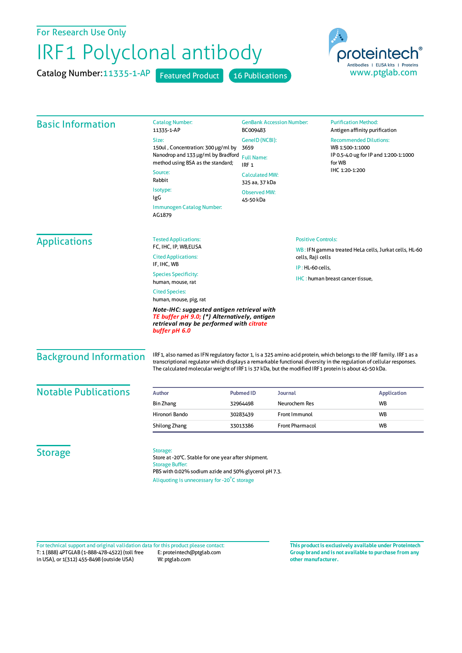For Research Use Only

## IRF1 Polyclonal antibody

Catalog Number:11335-1-AP Featured Product 16 Publications



| <b>Basic Information</b>                                                                                                                               | <b>Catalog Number:</b><br>11335-1-AP                                                                                                                                                                                                                                                                                                                | <b>GenBank Accession Number:</b><br>BC009483                                             |                                                                                                | <b>Purification Method:</b><br>Antigen affinity purification                                                          |                   |  |
|--------------------------------------------------------------------------------------------------------------------------------------------------------|-----------------------------------------------------------------------------------------------------------------------------------------------------------------------------------------------------------------------------------------------------------------------------------------------------------------------------------------------------|------------------------------------------------------------------------------------------|------------------------------------------------------------------------------------------------|-----------------------------------------------------------------------------------------------------------------------|-------------------|--|
|                                                                                                                                                        | Size:                                                                                                                                                                                                                                                                                                                                               | GenelD (NCBI):<br>3659<br><b>Full Name:</b><br>IRF <sub>1</sub><br><b>Calculated MW:</b> |                                                                                                | <b>Recommended Dilutions:</b><br>WB 1:500-1:1000<br>IP 0.5-4.0 ug for IP and 1:200-1:1000<br>for WB<br>IHC 1:20-1:200 |                   |  |
|                                                                                                                                                        | 150ul, Concentration: 300 µg/ml by<br>Nanodrop and 133 µg/ml by Bradford<br>method using BSA as the standard;                                                                                                                                                                                                                                       |                                                                                          |                                                                                                |                                                                                                                       |                   |  |
|                                                                                                                                                        |                                                                                                                                                                                                                                                                                                                                                     |                                                                                          |                                                                                                |                                                                                                                       | Source:<br>Rabbit |  |
|                                                                                                                                                        | Isotype:                                                                                                                                                                                                                                                                                                                                            |                                                                                          |                                                                                                |                                                                                                                       | 325 aa, 37 kDa    |  |
|                                                                                                                                                        | IgG                                                                                                                                                                                                                                                                                                                                                 | <b>Observed MW:</b><br>45-50 kDa                                                         |                                                                                                |                                                                                                                       |                   |  |
|                                                                                                                                                        | Immunogen Catalog Number:<br>AG1879                                                                                                                                                                                                                                                                                                                 |                                                                                          |                                                                                                |                                                                                                                       |                   |  |
|                                                                                                                                                        | <b>Applications</b>                                                                                                                                                                                                                                                                                                                                 | <b>Tested Applications:</b>                                                              |                                                                                                | <b>Positive Controls:</b>                                                                                             |                   |  |
| FC, IHC, IP, WB, ELISA<br><b>Cited Applications:</b>                                                                                                   |                                                                                                                                                                                                                                                                                                                                                     |                                                                                          | WB: IFN gamma treated HeLa cells, Jurkat cells, HL-60<br>cells, Raji cells<br>IP: HL-60 cells, |                                                                                                                       |                   |  |
| IF, IHC, WB                                                                                                                                            |                                                                                                                                                                                                                                                                                                                                                     |                                                                                          |                                                                                                |                                                                                                                       |                   |  |
| <b>Species Specificity:</b><br>human, mouse, rat                                                                                                       |                                                                                                                                                                                                                                                                                                                                                     | IHC: human breast cancer tissue,                                                         |                                                                                                |                                                                                                                       |                   |  |
| <b>Cited Species:</b><br>human, mouse, pig, rat                                                                                                        |                                                                                                                                                                                                                                                                                                                                                     |                                                                                          |                                                                                                |                                                                                                                       |                   |  |
| Note-IHC: suggested antigen retrieval with<br>TE buffer pH 9.0; (*) Alternatively, antigen<br>retrieval may be performed with citrate<br>buffer pH 6.0 |                                                                                                                                                                                                                                                                                                                                                     |                                                                                          |                                                                                                |                                                                                                                       |                   |  |
| <b>Background Information</b>                                                                                                                          | IRF1, also named as IFN regulatory factor 1, is a 325 amino acid protein, which belongs to the IRF family. IRF1 as a<br>transcriptional regulator which displays a remarkable functional diversity in the regulation of cellular responses.<br>The calculated molecular weight of IRF1 is 37 kDa, but the modified IRF1 protein is about 45-50 kDa. |                                                                                          |                                                                                                |                                                                                                                       |                   |  |
| <b>Notable Publications</b>                                                                                                                            | <b>Author</b>                                                                                                                                                                                                                                                                                                                                       | <b>Pubmed ID</b>                                                                         | <b>Journal</b>                                                                                 | <b>Application</b>                                                                                                    |                   |  |
|                                                                                                                                                        | <b>Bin Zhang</b>                                                                                                                                                                                                                                                                                                                                    | 32964498                                                                                 | Neurochem Res                                                                                  | WB                                                                                                                    |                   |  |
|                                                                                                                                                        | Hironori Bando                                                                                                                                                                                                                                                                                                                                      | 30283439                                                                                 | Front Immunol<br><b>WB</b>                                                                     |                                                                                                                       |                   |  |
|                                                                                                                                                        | Shilong Zhang                                                                                                                                                                                                                                                                                                                                       | 33013386                                                                                 | <b>Front Pharmacol</b>                                                                         | WB                                                                                                                    |                   |  |
| <b>Storage</b>                                                                                                                                         | Storage:<br>Store at -20°C. Stable for one year after shipment.<br><b>Storage Buffer:</b><br>PBS with 0.02% sodium azide and 50% glycerol pH 7.3.<br>Aliquoting is unnecessary for -20°C storage                                                                                                                                                    |                                                                                          |                                                                                                |                                                                                                                       |                   |  |

T: 1 (888) 4PTGLAB (1-888-478-4522) (toll free in USA), or 1(312) 455-8498 (outside USA) E: proteintech@ptglab.com W: ptglab.com Fortechnical support and original validation data forthis product please contact: **This productis exclusively available under Proteintech**

**Group brand and is not available to purchase from any other manufacturer.**